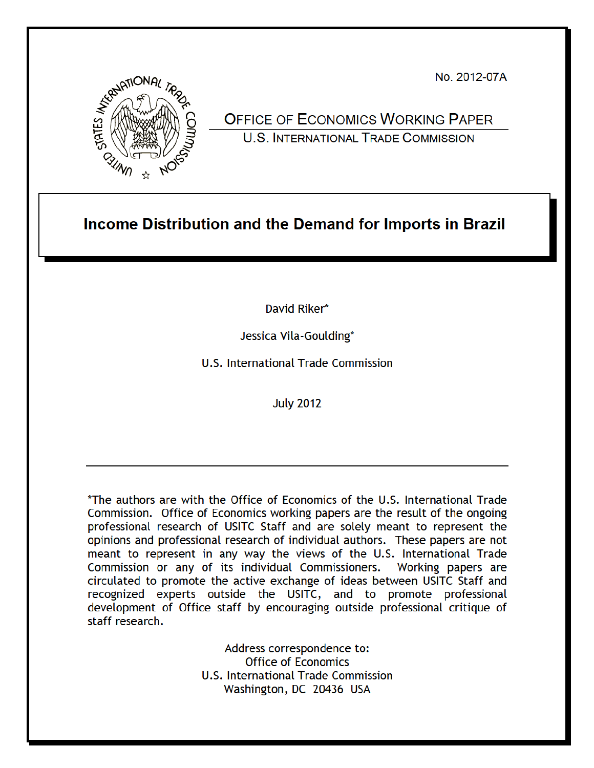No. 2012-07A



# **OFFICE OF ECONOMICS WORKING PAPER U.S. INTERNATIONAL TRADE COMMISSION**

# Income Distribution and the Demand for Imports in Brazil

David Riker\*

Jessica Vila-Goulding\*

**U.S. International Trade Commission** 

**July 2012** 

\*The authors are with the Office of Economics of the U.S. International Trade Commission. Office of Economics working papers are the result of the ongoing professional research of USITC Staff and are solely meant to represent the opinions and professional research of individual authors. These papers are not meant to represent in any way the views of the U.S. International Trade Commission or any of its individual Commissioners. Working papers are circulated to promote the active exchange of ideas between USITC Staff and recognized experts outside the USITC, and to promote professional development of Office staff by encouraging outside professional critique of staff research.

> Address correspondence to: **Office of Economics** U.S. International Trade Commission Washington, DC 20436 USA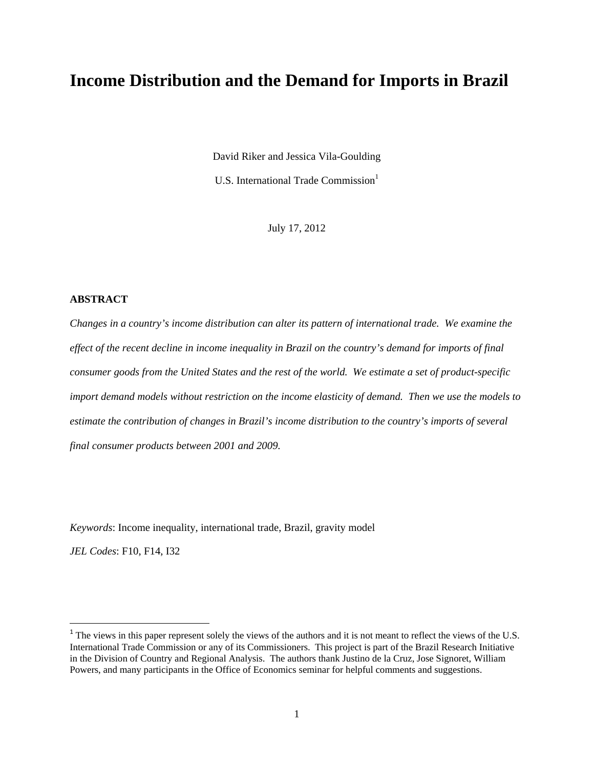# **Income Distribution and the Demand for Imports in Brazil**

David Riker and Jessica Vila-Goulding

U.S. International Trade Commission<sup>1</sup>

July 17, 2012

#### **ABSTRACT**

*Changes in a country's income distribution can alter its pattern of international trade. We examine the effect of the recent decline in income inequality in Brazil on the country's demand for imports of final consumer goods from the United States and the rest of the world. We estimate a set of product-specific import demand models without restriction on the income elasticity of demand. Then we use the models to estimate the contribution of changes in Brazil's income distribution to the country's imports of several final consumer products between 2001 and 2009.* 

*Keywords*: Income inequality, international trade, Brazil, gravity model

*JEL Codes*: F10, F14, I32

<sup>&</sup>lt;sup>1</sup> The views in this paper represent solely the views of the authors and it is not meant to reflect the views of the U.S. International Trade Commission or any of its Commissioners. This project is part of the Brazil Research Initiative in the Division of Country and Regional Analysis. The authors thank Justino de la Cruz, Jose Signoret, William Powers, and many participants in the Office of Economics seminar for helpful comments and suggestions.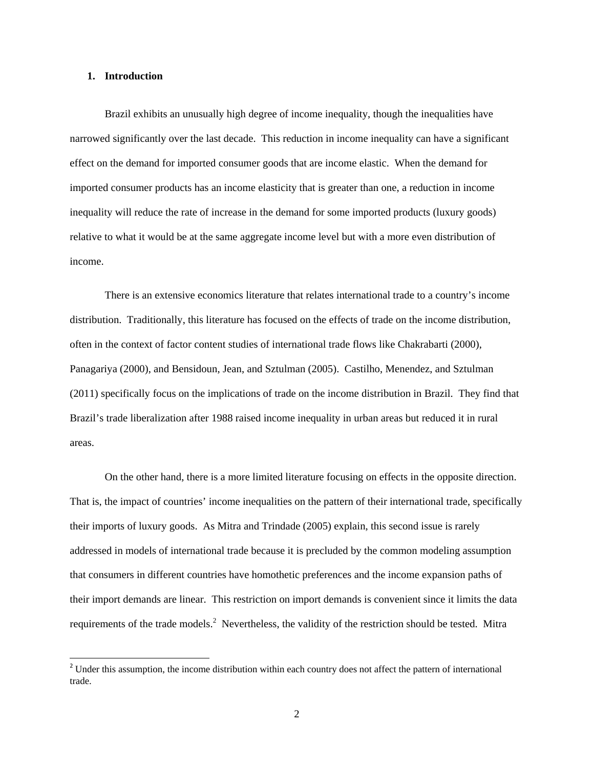#### **1. Introduction**

Brazil exhibits an unusually high degree of income inequality, though the inequalities have narrowed significantly over the last decade. This reduction in income inequality can have a significant effect on the demand for imported consumer goods that are income elastic. When the demand for imported consumer products has an income elasticity that is greater than one, a reduction in income inequality will reduce the rate of increase in the demand for some imported products (luxury goods) relative to what it would be at the same aggregate income level but with a more even distribution of income.

There is an extensive economics literature that relates international trade to a country's income distribution. Traditionally, this literature has focused on the effects of trade on the income distribution, often in the context of factor content studies of international trade flows like Chakrabarti (2000), Panagariya (2000), and Bensidoun, Jean, and Sztulman (2005). Castilho, Menendez, and Sztulman (2011) specifically focus on the implications of trade on the income distribution in Brazil. They find that Brazil's trade liberalization after 1988 raised income inequality in urban areas but reduced it in rural areas.

On the other hand, there is a more limited literature focusing on effects in the opposite direction. That is, the impact of countries' income inequalities on the pattern of their international trade, specifically their imports of luxury goods. As Mitra and Trindade (2005) explain, this second issue is rarely addressed in models of international trade because it is precluded by the common modeling assumption that consumers in different countries have homothetic preferences and the income expansion paths of their import demands are linear. This restriction on import demands is convenient since it limits the data requirements of the trade models.<sup>2</sup> Nevertheless, the validity of the restriction should be tested. Mitra

<sup>&</sup>lt;sup>2</sup> Under this assumption, the income distribution within each country does not affect the pattern of international trade.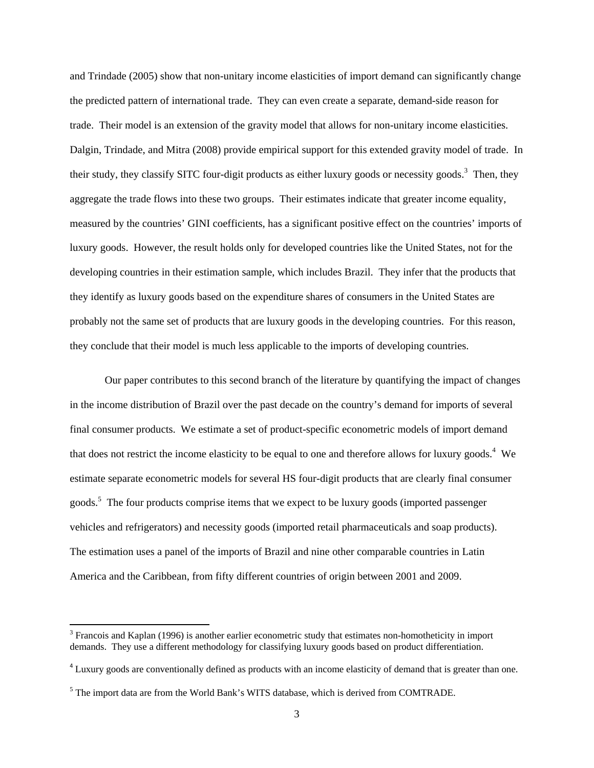and Trindade (2005) show that non-unitary income elasticities of import demand can significantly change the predicted pattern of international trade. They can even create a separate, demand-side reason for trade. Their model is an extension of the gravity model that allows for non-unitary income elasticities. Dalgin, Trindade, and Mitra (2008) provide empirical support for this extended gravity model of trade. In their study, they classify SITC four-digit products as either luxury goods or necessity goods.<sup>3</sup> Then, they aggregate the trade flows into these two groups. Their estimates indicate that greater income equality, measured by the countries' GINI coefficients, has a significant positive effect on the countries' imports of luxury goods. However, the result holds only for developed countries like the United States, not for the developing countries in their estimation sample, which includes Brazil. They infer that the products that they identify as luxury goods based on the expenditure shares of consumers in the United States are probably not the same set of products that are luxury goods in the developing countries. For this reason, they conclude that their model is much less applicable to the imports of developing countries.

Our paper contributes to this second branch of the literature by quantifying the impact of changes in the income distribution of Brazil over the past decade on the country's demand for imports of several final consumer products. We estimate a set of product-specific econometric models of import demand that does not restrict the income elasticity to be equal to one and therefore allows for luxury goods.<sup>4</sup> We estimate separate econometric models for several HS four-digit products that are clearly final consumer goods.<sup>5</sup> The four products comprise items that we expect to be luxury goods (imported passenger vehicles and refrigerators) and necessity goods (imported retail pharmaceuticals and soap products). The estimation uses a panel of the imports of Brazil and nine other comparable countries in Latin America and the Caribbean, from fifty different countries of origin between 2001 and 2009.

<sup>&</sup>lt;sup>3</sup> Francois and Kaplan (1996) is another earlier econometric study that estimates non-homotheticity in import demands. They use a different methodology for classifying luxury goods based on product differentiation.

<sup>&</sup>lt;sup>4</sup> Luxury goods are conventionally defined as products with an income elasticity of demand that is greater than one.

 $<sup>5</sup>$  The import data are from the World Bank's WITS database, which is derived from COMTRADE.</sup>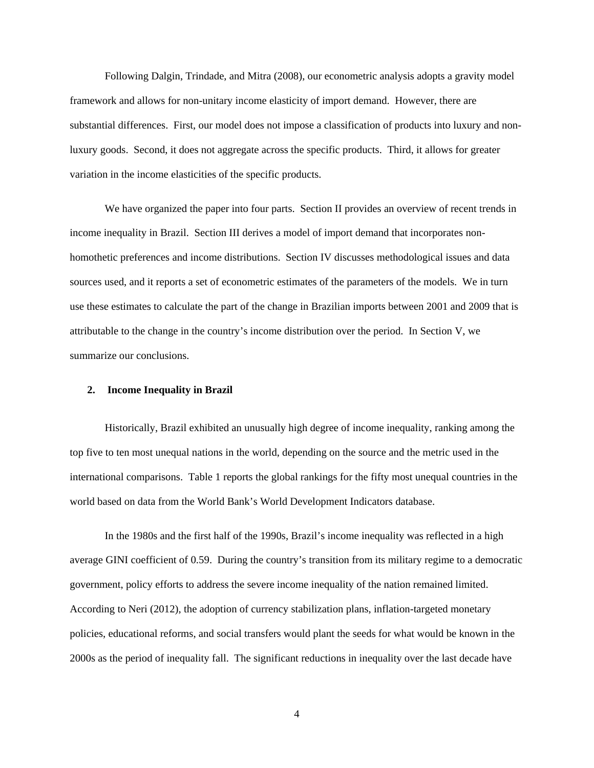Following Dalgin, Trindade, and Mitra (2008), our econometric analysis adopts a gravity model framework and allows for non-unitary income elasticity of import demand. However, there are substantial differences. First, our model does not impose a classification of products into luxury and nonluxury goods. Second, it does not aggregate across the specific products. Third, it allows for greater variation in the income elasticities of the specific products.

We have organized the paper into four parts. Section II provides an overview of recent trends in income inequality in Brazil. Section III derives a model of import demand that incorporates nonhomothetic preferences and income distributions. Section IV discusses methodological issues and data sources used, and it reports a set of econometric estimates of the parameters of the models. We in turn use these estimates to calculate the part of the change in Brazilian imports between 2001 and 2009 that is attributable to the change in the country's income distribution over the period. In Section V, we summarize our conclusions.

#### **2. Income Inequality in Brazil**

Historically, Brazil exhibited an unusually high degree of income inequality, ranking among the top five to ten most unequal nations in the world, depending on the source and the metric used in the international comparisons. Table 1 reports the global rankings for the fifty most unequal countries in the world based on data from the World Bank's World Development Indicators database.

In the 1980s and the first half of the 1990s, Brazil's income inequality was reflected in a high average GINI coefficient of 0.59. During the country's transition from its military regime to a democratic government, policy efforts to address the severe income inequality of the nation remained limited. According to Neri (2012), the adoption of currency stabilization plans, inflation-targeted monetary policies, educational reforms, and social transfers would plant the seeds for what would be known in the 2000s as the period of inequality fall. The significant reductions in inequality over the last decade have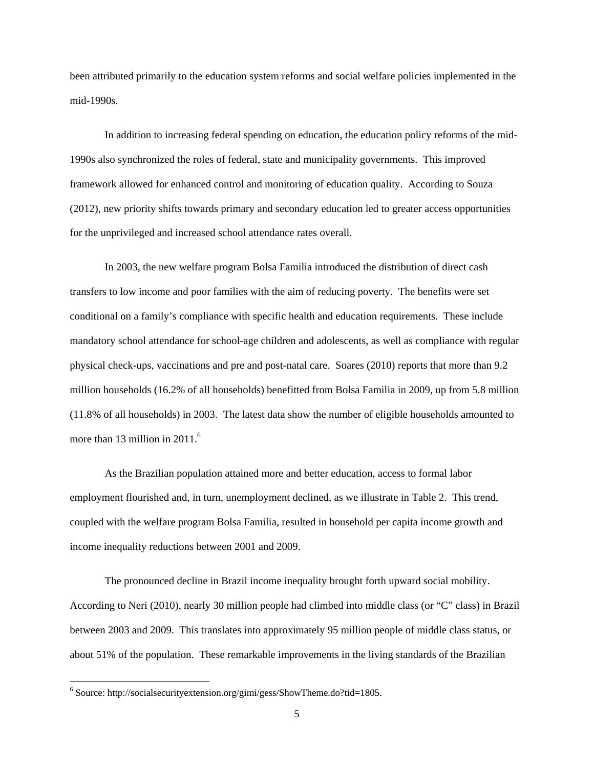been attributed primarily to the education system reforms and social welfare policies implemented in the mid-1990s.

In addition to increasing federal spending on education, the education policy reforms of the mid-1990s also synchronized the roles of federal, state and municipality governments. This improved framework allowed for enhanced control and monitoring of education quality. According to Souza (2012), new priority shifts towards primary and secondary education led to greater access opportunities for the unprivileged and increased school attendance rates overall.

In 2003, the new welfare program Bolsa Familia introduced the distribution of direct cash transfers to low income and poor families with the aim of reducing poverty. The benefits were set conditional on a family's compliance with specific health and education requirements. These include mandatory school attendance for school-age children and adolescents, as well as compliance with regular physical check-ups, vaccinations and pre and post-natal care. Soares (2010) reports that more than 9.2 million households (16.2% of all households) benefitted from Bolsa Familia in 2009, up from 5.8 million (11.8% of all households) in 2003. The latest data show the number of eligible households amounted to more than 13 million in  $2011<sup>6</sup>$ 

As the Brazilian population attained more and better education, access to formal labor employment flourished and, in turn, unemployment declined, as we illustrate in Table 2. This trend, coupled with the welfare program Bolsa Familia, resulted in household per capita income growth and income inequality reductions between 2001 and 2009.

The pronounced decline in Brazil income inequality brought forth upward social mobility. According to Neri (2010), nearly 30 million people had climbed into middle class (or "C" class) in Brazil between 2003 and 2009. This translates into approximately 95 million people of middle class status, or about 51% of the population. These remarkable improvements in the living standards of the Brazilian

<sup>&</sup>lt;sup>6</sup> Source: http://socialsecurityextension.org/gimi/gess/ShowTheme.do?tid=1805.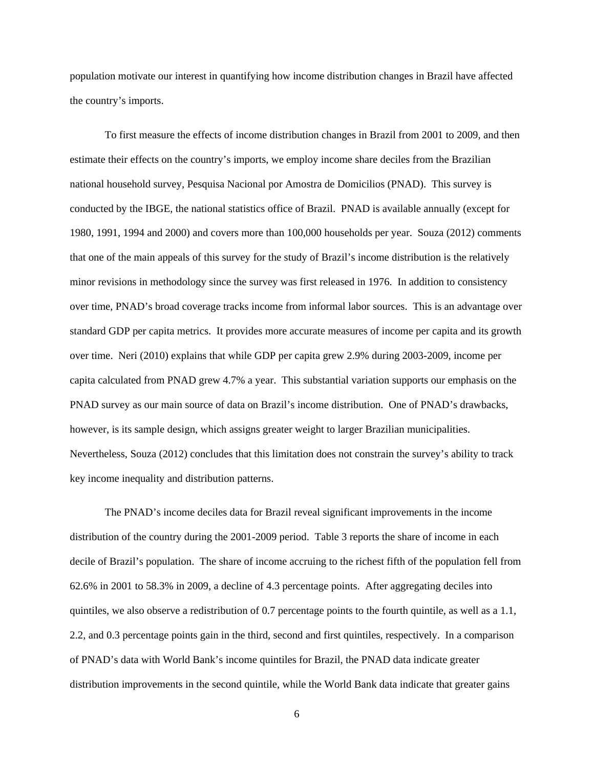population motivate our interest in quantifying how income distribution changes in Brazil have affected the country's imports.

To first measure the effects of income distribution changes in Brazil from 2001 to 2009, and then estimate their effects on the country's imports, we employ income share deciles from the Brazilian national household survey, Pesquisa Nacional por Amostra de Domicilios (PNAD). This survey is conducted by the IBGE, the national statistics office of Brazil. PNAD is available annually (except for 1980, 1991, 1994 and 2000) and covers more than 100,000 households per year. Souza (2012) comments that one of the main appeals of this survey for the study of Brazil's income distribution is the relatively minor revisions in methodology since the survey was first released in 1976. In addition to consistency over time, PNAD's broad coverage tracks income from informal labor sources. This is an advantage over standard GDP per capita metrics. It provides more accurate measures of income per capita and its growth over time. Neri (2010) explains that while GDP per capita grew 2.9% during 2003-2009, income per capita calculated from PNAD grew 4.7% a year. This substantial variation supports our emphasis on the PNAD survey as our main source of data on Brazil's income distribution. One of PNAD's drawbacks, however, is its sample design, which assigns greater weight to larger Brazilian municipalities. Nevertheless, Souza (2012) concludes that this limitation does not constrain the survey's ability to track key income inequality and distribution patterns.

The PNAD's income deciles data for Brazil reveal significant improvements in the income distribution of the country during the 2001-2009 period. Table 3 reports the share of income in each decile of Brazil's population. The share of income accruing to the richest fifth of the population fell from 62.6% in 2001 to 58.3% in 2009, a decline of 4.3 percentage points. After aggregating deciles into quintiles, we also observe a redistribution of 0.7 percentage points to the fourth quintile, as well as a 1.1, 2.2, and 0.3 percentage points gain in the third, second and first quintiles, respectively. In a comparison of PNAD's data with World Bank's income quintiles for Brazil, the PNAD data indicate greater distribution improvements in the second quintile, while the World Bank data indicate that greater gains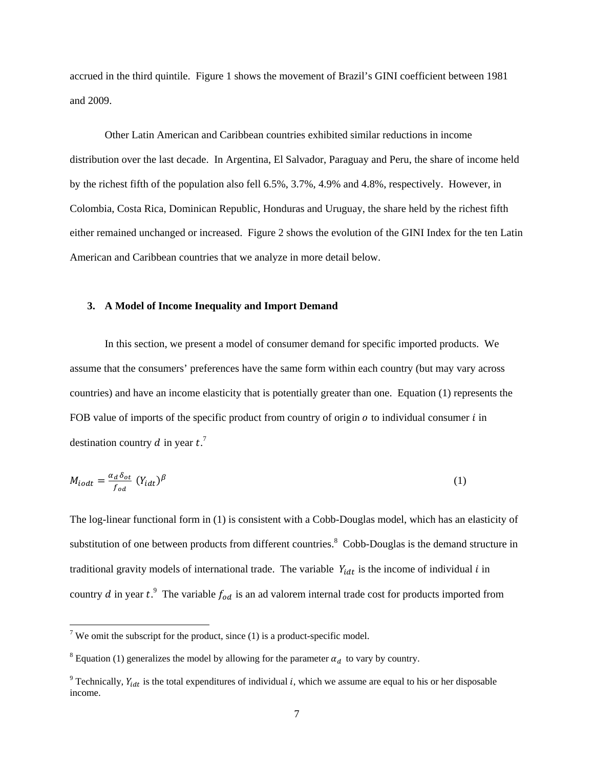accrued in the third quintile. Figure 1 shows the movement of Brazil's GINI coefficient between 1981 and 2009.

Other Latin American and Caribbean countries exhibited similar reductions in income distribution over the last decade. In Argentina, El Salvador, Paraguay and Peru, the share of income held by the richest fifth of the population also fell 6.5%, 3.7%, 4.9% and 4.8%, respectively. However, in Colombia, Costa Rica, Dominican Republic, Honduras and Uruguay, the share held by the richest fifth either remained unchanged or increased. Figure 2 shows the evolution of the GINI Index for the ten Latin American and Caribbean countries that we analyze in more detail below.

#### **3. A Model of Income Inequality and Import Demand**

In this section, we present a model of consumer demand for specific imported products. We assume that the consumers' preferences have the same form within each country (but may vary across countries) and have an income elasticity that is potentially greater than one. Equation (1) represents the FOB value of imports of the specific product from country of origin  $\rho$  to individual consumer  $\ell$  in destination country d in year  $t$ .<sup>7</sup>

$$
M_{i\text{od}t} = \frac{\alpha_d \,\delta_{\text{ot}}}{f_{\text{od}}} \left( Y_{i\text{dd}} \right)^{\beta} \tag{1}
$$

The log-linear functional form in (1) is consistent with a Cobb-Douglas model, which has an elasticity of substitution of one between products from different countries.<sup>8</sup> Cobb-Douglas is the demand structure in traditional gravity models of international trade. The variable  $Y_{idt}$  is the income of individual  $i$  in country d in year  $t^2$ . The variable  $f_{od}$  is an ad valorem internal trade cost for products imported from

 $\overline{7}$  We omit the subscript for the product, since (1) is a product-specific model.

<sup>&</sup>lt;sup>8</sup> Equation (1) generalizes the model by allowing for the parameter  $\alpha_d$  to vary by country.

<sup>&</sup>lt;sup>9</sup> Technically,  $Y_{idt}$  is the total expenditures of individual *i*, which we assume are equal to his or her disposable income.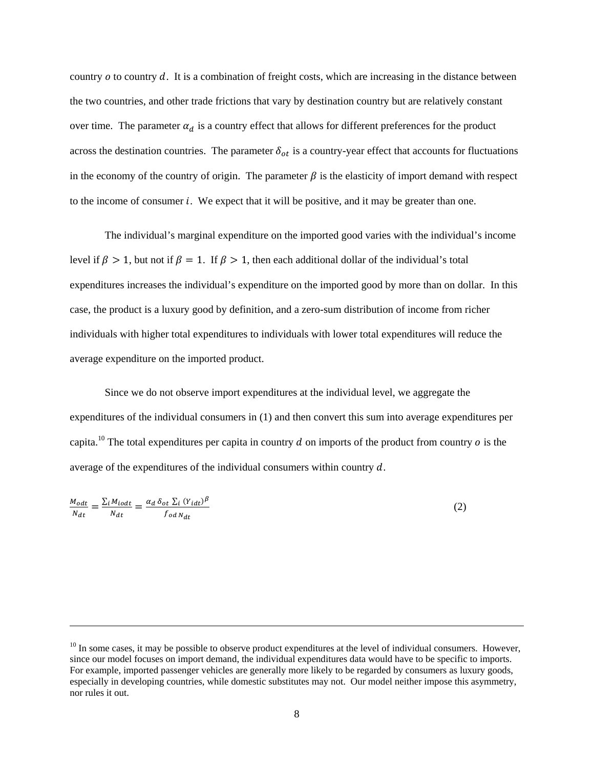country  $\sigma$  to country  $\dot{\sigma}$ . It is a combination of freight costs, which are increasing in the distance between the two countries, and other trade frictions that vary by destination country but are relatively constant over time. The parameter  $\alpha_d$  is a country effect that allows for different preferences for the product across the destination countries. The parameter  $\delta_{ot}$  is a country-year effect that accounts for fluctuations in the economy of the country of origin. The parameter  $\beta$  is the elasticity of import demand with respect to the income of consumer *i*. We expect that it will be positive, and it may be greater than one.

 The individual's marginal expenditure on the imported good varies with the individual's income level if  $\beta > 1$ , but not if  $\beta = 1$ . If  $\beta > 1$ , then each additional dollar of the individual's total expenditures increases the individual's expenditure on the imported good by more than on dollar. In this case, the product is a luxury good by definition, and a zero-sum distribution of income from richer individuals with higher total expenditures to individuals with lower total expenditures will reduce the average expenditure on the imported product.

 Since we do not observe import expenditures at the individual level, we aggregate the expenditures of the individual consumers in (1) and then convert this sum into average expenditures per capita.<sup>10</sup> The total expenditures per capita in country  $d$  on imports of the product from country  $o$  is the average of the expenditures of the individual consumers within country  $d$ .

$$
\frac{M_{odt}}{N_{dt}} = \frac{\Sigma_i M_{iodt}}{N_{dt}} = \frac{\alpha_d \,\delta_{ot} \,\Sigma_i \,(Y_{idt})^\beta}{f_{od \,N_{dt}}}
$$
\n
$$
\tag{2}
$$

<u> 1989 - Johann Stein, marwolaethau a gweledydd a ganlad y ganlad y ganlad y ganlad y ganlad y ganlad y ganlad</u>

 $10$  In some cases, it may be possible to observe product expenditures at the level of individual consumers. However, since our model focuses on import demand, the individual expenditures data would have to be specific to imports. For example, imported passenger vehicles are generally more likely to be regarded by consumers as luxury goods, especially in developing countries, while domestic substitutes may not. Our model neither impose this asymmetry, nor rules it out.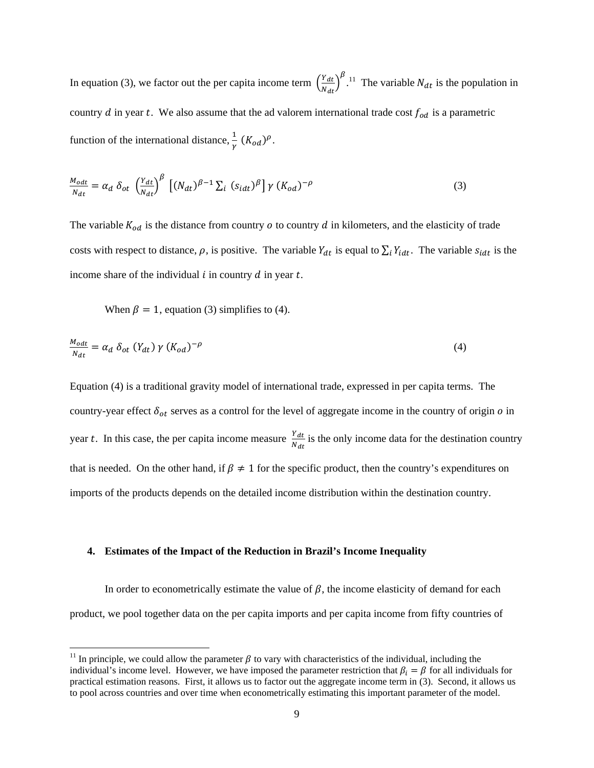In equation (3), we factor out the per capita income term  $\left(\frac{Y_{dt}}{y}\right)$  $\frac{Y_{dt}}{N_{dt}}\bigg)^{\beta}$ .<sup>11</sup> The variable  $N_{dt}$  is the population in country  $d$  in year  $t$ . We also assume that the ad valorem international trade cost  $f_{od}$  is a parametric function of the international distance,  $\frac{1}{\gamma}$   $(K_{od})^{\rho}$ .

$$
\frac{M_{\text{od}t}}{N_{dt}} = \alpha_d \delta_{ot} \left(\frac{Y_{dt}}{N_{dt}}\right)^{\beta} \left[ (N_{dt})^{\beta - 1} \Sigma_i (s_{idt})^{\beta} \right] \gamma (K_{od})^{-\rho} \tag{3}
$$

The variable  $K_{od}$  is the distance from country  $\sigma$  to country  $d$  in kilometers, and the elasticity of trade costs with respect to distance,  $\rho$ , is positive. The variable  $Y_{dt}$  is equal to  $\sum_i Y_{idt}$ . The variable  $s_{idt}$  is the income share of the individual  $i$  in country  $d$  in year  $t$ .

When  $\beta = 1$ , equation (3) simplifies to (4).

$$
\frac{M_{odt}}{N_{dt}} = \alpha_d \delta_{ot} (Y_{dt}) \gamma (K_{od})^{-\rho}
$$
\n(4)

Equation (4) is a traditional gravity model of international trade, expressed in per capita terms. The country-year effect  $\delta_{ot}$  serves as a control for the level of aggregate income in the country of origin  $o$  in year t. In this case, the per capita income measure  $\frac{Y_{dt}}{N_{dt}}$  is the only income data for the destination country that is needed. On the other hand, if  $\beta \neq 1$  for the specific product, then the country's expenditures on imports of the products depends on the detailed income distribution within the destination country.

#### **4. Estimates of the Impact of the Reduction in Brazil's Income Inequality**

In order to econometrically estimate the value of  $\beta$ , the income elasticity of demand for each product, we pool together data on the per capita imports and per capita income from fifty countries of

<sup>&</sup>lt;sup>11</sup> In principle, we could allow the parameter  $\beta$  to vary with characteristics of the individual, including the individual's income level. However, we have imposed the parameter restriction that  $\beta_i = \beta$  for all individuals for practical estimation reasons. First, it allows us to factor out the aggregate income term in (3). Second, it allows us to pool across countries and over time when econometrically estimating this important parameter of the model.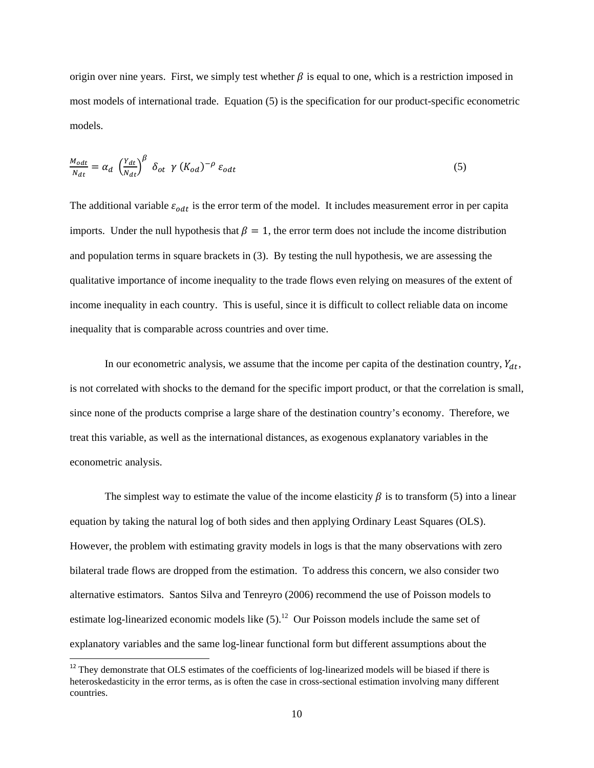origin over nine years. First, we simply test whether  $\beta$  is equal to one, which is a restriction imposed in most models of international trade. Equation (5) is the specification for our product-specific econometric models.

$$
\frac{M_{odt}}{N_{dt}} = \alpha_d \left(\frac{Y_{dt}}{N_{dt}}\right)^{\beta} \delta_{ot} \gamma (K_{od})^{-\rho} \varepsilon_{odt}
$$
\n<sup>(5)</sup>

The additional variable  $\varepsilon_{odt}$  is the error term of the model. It includes measurement error in per capita imports. Under the null hypothesis that  $\beta = 1$ , the error term does not include the income distribution and population terms in square brackets in (3). By testing the null hypothesis, we are assessing the qualitative importance of income inequality to the trade flows even relying on measures of the extent of income inequality in each country. This is useful, since it is difficult to collect reliable data on income inequality that is comparable across countries and over time.

In our econometric analysis, we assume that the income per capita of the destination country,  $Y_{dt}$ , is not correlated with shocks to the demand for the specific import product, or that the correlation is small, since none of the products comprise a large share of the destination country's economy. Therefore, we treat this variable, as well as the international distances, as exogenous explanatory variables in the econometric analysis.

The simplest way to estimate the value of the income elasticity  $\beta$  is to transform (5) into a linear equation by taking the natural log of both sides and then applying Ordinary Least Squares (OLS). However, the problem with estimating gravity models in logs is that the many observations with zero bilateral trade flows are dropped from the estimation. To address this concern, we also consider two alternative estimators. Santos Silva and Tenreyro (2006) recommend the use of Poisson models to estimate log-linearized economic models like  $(5)$ .<sup>12</sup> Our Poisson models include the same set of explanatory variables and the same log-linear functional form but different assumptions about the

 $12$  They demonstrate that OLS estimates of the coefficients of log-linearized models will be biased if there is heteroskedasticity in the error terms, as is often the case in cross-sectional estimation involving many different countries.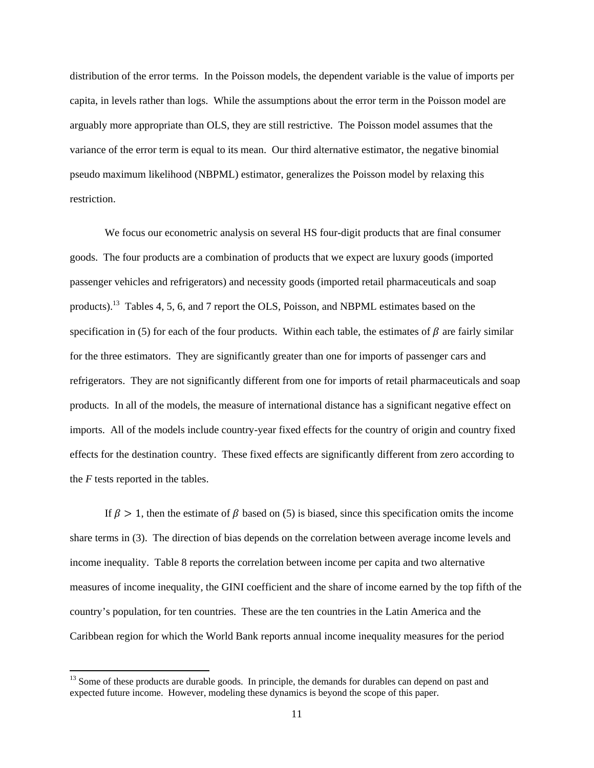distribution of the error terms. In the Poisson models, the dependent variable is the value of imports per capita, in levels rather than logs. While the assumptions about the error term in the Poisson model are arguably more appropriate than OLS, they are still restrictive. The Poisson model assumes that the variance of the error term is equal to its mean. Our third alternative estimator, the negative binomial pseudo maximum likelihood (NBPML) estimator, generalizes the Poisson model by relaxing this restriction.

We focus our econometric analysis on several HS four-digit products that are final consumer goods. The four products are a combination of products that we expect are luxury goods (imported passenger vehicles and refrigerators) and necessity goods (imported retail pharmaceuticals and soap products).13 Tables 4, 5, 6, and 7 report the OLS, Poisson, and NBPML estimates based on the specification in (5) for each of the four products. Within each table, the estimates of  $\beta$  are fairly similar for the three estimators. They are significantly greater than one for imports of passenger cars and refrigerators. They are not significantly different from one for imports of retail pharmaceuticals and soap products. In all of the models, the measure of international distance has a significant negative effect on imports. All of the models include country-year fixed effects for the country of origin and country fixed effects for the destination country. These fixed effects are significantly different from zero according to the *F* tests reported in the tables.

If  $\beta > 1$ , then the estimate of  $\beta$  based on (5) is biased, since this specification omits the income share terms in (3). The direction of bias depends on the correlation between average income levels and income inequality. Table 8 reports the correlation between income per capita and two alternative measures of income inequality, the GINI coefficient and the share of income earned by the top fifth of the country's population, for ten countries. These are the ten countries in the Latin America and the Caribbean region for which the World Bank reports annual income inequality measures for the period

<sup>&</sup>lt;sup>13</sup> Some of these products are durable goods. In principle, the demands for durables can depend on past and expected future income. However, modeling these dynamics is beyond the scope of this paper.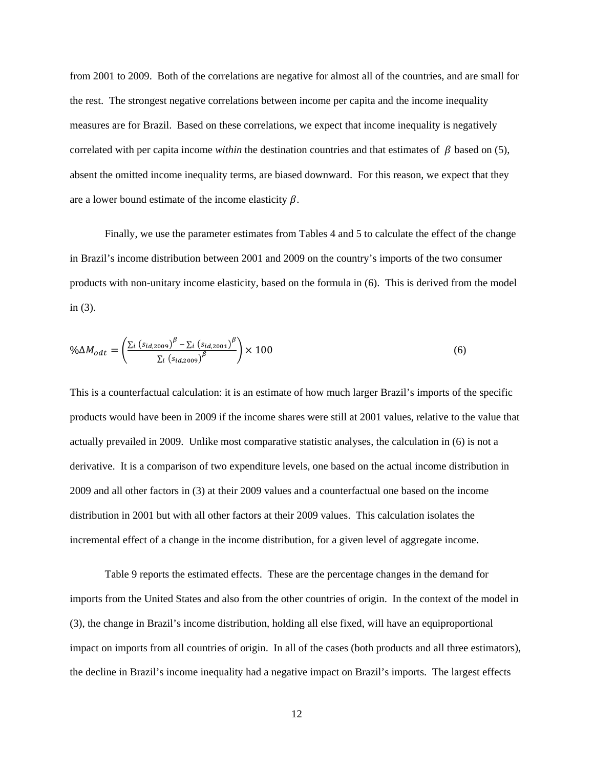from 2001 to 2009. Both of the correlations are negative for almost all of the countries, and are small for the rest. The strongest negative correlations between income per capita and the income inequality measures are for Brazil. Based on these correlations, we expect that income inequality is negatively correlated with per capita income *within* the destination countries and that estimates of  $\beta$  based on (5), absent the omitted income inequality terms, are biased downward. For this reason, we expect that they are a lower bound estimate of the income elasticity  $\beta$ .

Finally, we use the parameter estimates from Tables 4 and 5 to calculate the effect of the change in Brazil's income distribution between 2001 and 2009 on the country's imports of the two consumer products with non-unitary income elasticity, based on the formula in (6). This is derived from the model in (3).

$$
\% \Delta M_{odt} = \left( \frac{\sum_{i} \left( s_{id, 2009} \right)^{\beta} - \sum_{i} \left( s_{id, 2001} \right)^{\beta}}{\sum_{i} \left( s_{id, 2009} \right)^{\beta}} \right) \times 100
$$
\n
$$
\tag{6}
$$

This is a counterfactual calculation: it is an estimate of how much larger Brazil's imports of the specific products would have been in 2009 if the income shares were still at 2001 values, relative to the value that actually prevailed in 2009. Unlike most comparative statistic analyses, the calculation in (6) is not a derivative. It is a comparison of two expenditure levels, one based on the actual income distribution in 2009 and all other factors in (3) at their 2009 values and a counterfactual one based on the income distribution in 2001 but with all other factors at their 2009 values. This calculation isolates the incremental effect of a change in the income distribution, for a given level of aggregate income.

Table 9 reports the estimated effects. These are the percentage changes in the demand for imports from the United States and also from the other countries of origin. In the context of the model in (3), the change in Brazil's income distribution, holding all else fixed, will have an equiproportional impact on imports from all countries of origin. In all of the cases (both products and all three estimators), the decline in Brazil's income inequality had a negative impact on Brazil's imports. The largest effects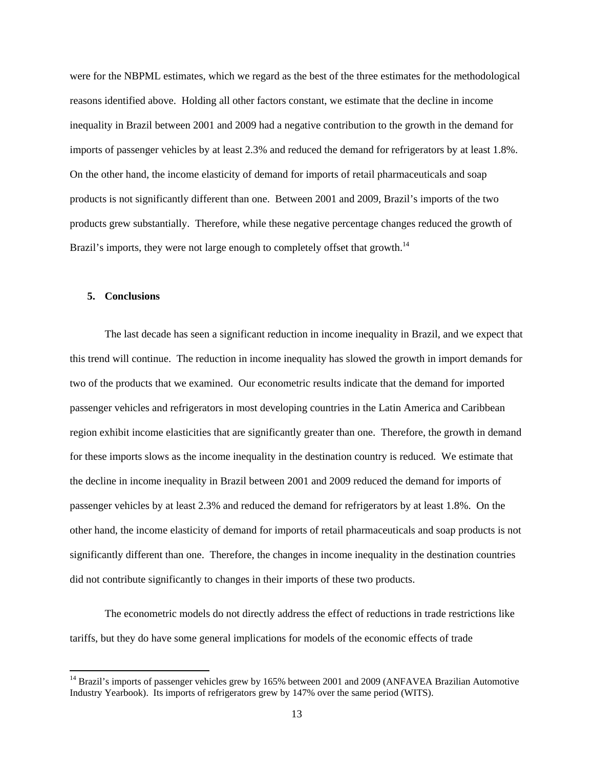were for the NBPML estimates, which we regard as the best of the three estimates for the methodological reasons identified above. Holding all other factors constant, we estimate that the decline in income inequality in Brazil between 2001 and 2009 had a negative contribution to the growth in the demand for imports of passenger vehicles by at least 2.3% and reduced the demand for refrigerators by at least 1.8%. On the other hand, the income elasticity of demand for imports of retail pharmaceuticals and soap products is not significantly different than one. Between 2001 and 2009, Brazil's imports of the two products grew substantially. Therefore, while these negative percentage changes reduced the growth of Brazil's imports, they were not large enough to completely offset that growth.<sup>14</sup>

#### **5. Conclusions**

The last decade has seen a significant reduction in income inequality in Brazil, and we expect that this trend will continue. The reduction in income inequality has slowed the growth in import demands for two of the products that we examined. Our econometric results indicate that the demand for imported passenger vehicles and refrigerators in most developing countries in the Latin America and Caribbean region exhibit income elasticities that are significantly greater than one. Therefore, the growth in demand for these imports slows as the income inequality in the destination country is reduced. We estimate that the decline in income inequality in Brazil between 2001 and 2009 reduced the demand for imports of passenger vehicles by at least 2.3% and reduced the demand for refrigerators by at least 1.8%. On the other hand, the income elasticity of demand for imports of retail pharmaceuticals and soap products is not significantly different than one. Therefore, the changes in income inequality in the destination countries did not contribute significantly to changes in their imports of these two products.

The econometric models do not directly address the effect of reductions in trade restrictions like tariffs, but they do have some general implications for models of the economic effects of trade

<sup>&</sup>lt;sup>14</sup> Brazil's imports of passenger vehicles grew by 165% between 2001 and 2009 (ANFAVEA Brazilian Automotive Industry Yearbook). Its imports of refrigerators grew by 147% over the same period (WITS).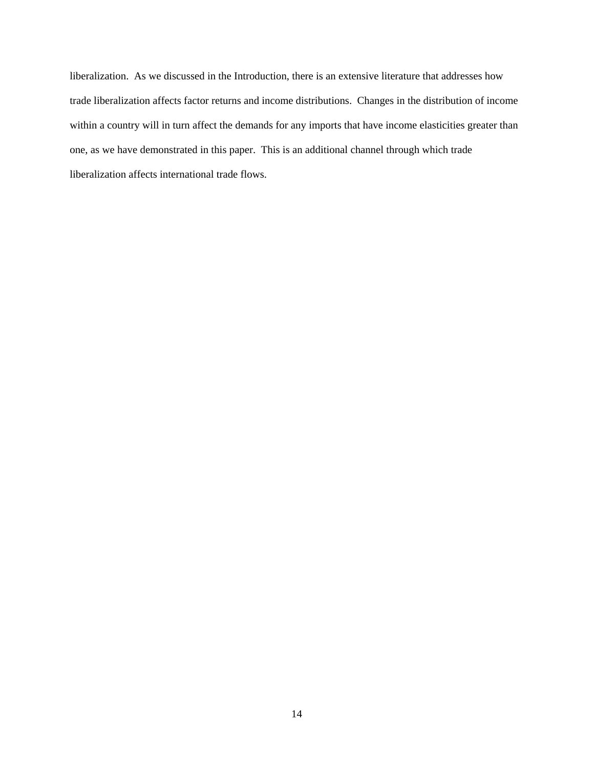liberalization. As we discussed in the Introduction, there is an extensive literature that addresses how trade liberalization affects factor returns and income distributions. Changes in the distribution of income within a country will in turn affect the demands for any imports that have income elasticities greater than one, as we have demonstrated in this paper. This is an additional channel through which trade liberalization affects international trade flows.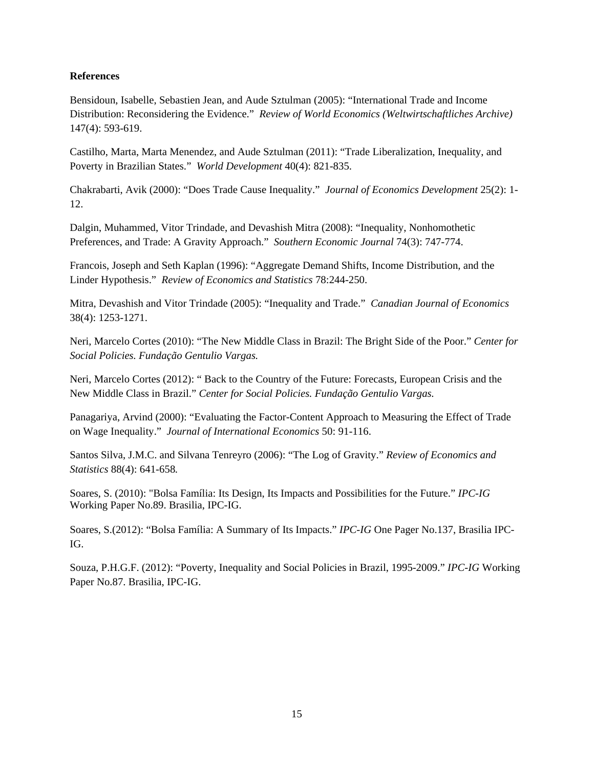#### **References**

Bensidoun, Isabelle, Sebastien Jean, and Aude Sztulman (2005): "International Trade and Income Distribution: Reconsidering the Evidence." *Review of World Economics (Weltwirtschaftliches Archive)* 147(4): 593-619.

Castilho, Marta, Marta Menendez, and Aude Sztulman (2011): "Trade Liberalization, Inequality, and Poverty in Brazilian States." *World Development* 40(4): 821-835.

Chakrabarti, Avik (2000): "Does Trade Cause Inequality." *Journal of Economics Development* 25(2): 1- 12.

Dalgin, Muhammed, Vitor Trindade, and Devashish Mitra (2008): "Inequality, Nonhomothetic Preferences, and Trade: A Gravity Approach." *Southern Economic Journal* 74(3): 747-774.

Francois, Joseph and Seth Kaplan (1996): "Aggregate Demand Shifts, Income Distribution, and the Linder Hypothesis." *Review of Economics and Statistics* 78:244-250.

Mitra, Devashish and Vitor Trindade (2005): "Inequality and Trade." *Canadian Journal of Economics*  38(4): 1253-1271.

Neri, Marcelo Cortes (2010): "The New Middle Class in Brazil: The Bright Side of the Poor." *Center for Social Policies. Fundação Gentulio Vargas.*

Neri, Marcelo Cortes (2012): " Back to the Country of the Future: Forecasts, European Crisis and the New Middle Class in Brazil." *Center for Social Policies. Fundação Gentulio Vargas.*

Panagariya, Arvind (2000): "Evaluating the Factor-Content Approach to Measuring the Effect of Trade on Wage Inequality." *Journal of International Economics* 50: 91-116.

Santos Silva, J.M.C. and Silvana Tenreyro (2006): "The Log of Gravity." *Review of Economics and Statistics* 88(4): 641-658*.* 

Soares, S. (2010): "Bolsa Família: Its Design, Its Impacts and Possibilities for the Future." *IPC-IG* Working Paper No.89. Brasilia, IPC-IG.

Soares, S.(2012): "Bolsa Família: A Summary of Its Impacts." *IPC-IG* One Pager No.137, Brasilia IPC-IG.

Souza, P.H.G.F. (2012): "Poverty, Inequality and Social Policies in Brazil, 1995-2009." *IPC-IG* Working Paper No.87. Brasilia, IPC-IG.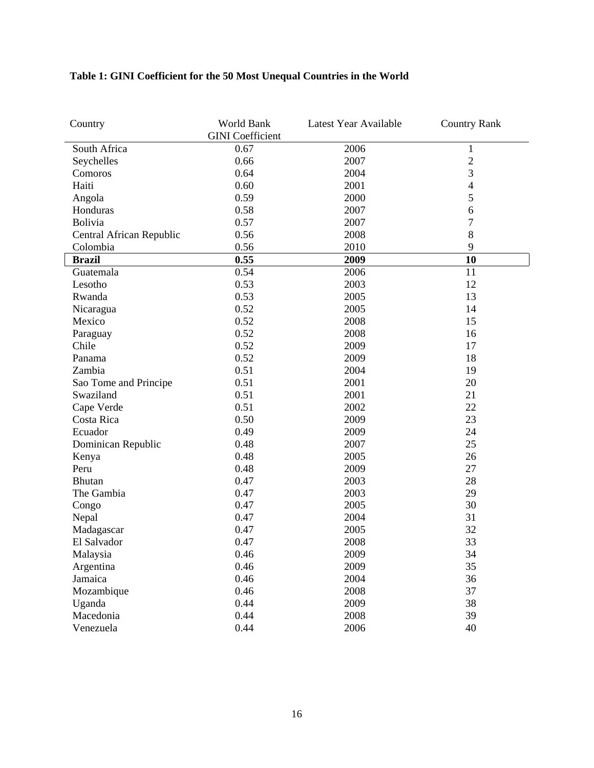### **Table 1: GINI Coefficient for the 50 Most Unequal Countries in the World**

| Country                  | World Bank<br><b>GINI</b> Coefficient | Latest Year Available | <b>Country Rank</b>      |
|--------------------------|---------------------------------------|-----------------------|--------------------------|
| South Africa             | 0.67                                  | 2006                  | $\mathbf{1}$             |
| Seychelles               | 0.66                                  | 2007                  | $\overline{2}$           |
| Comoros                  | 0.64                                  | 2004                  | 3                        |
| Haiti                    | 0.60                                  | 2001                  | $\overline{\mathcal{L}}$ |
| Angola                   | 0.59                                  | 2000                  | 5                        |
| Honduras                 | 0.58                                  | 2007                  | 6                        |
| Bolivia                  | 0.57                                  | 2007                  | $\overline{7}$           |
| Central African Republic | 0.56                                  | 2008                  | 8                        |
| Colombia                 | 0.56                                  | 2010                  | 9                        |
| <b>Brazil</b>            | 0.55                                  | 2009                  | 10                       |
| Guatemala                | 0.54                                  | 2006                  | 11                       |
| Lesotho                  | 0.53                                  | 2003                  | 12                       |
| Rwanda                   | 0.53                                  | 2005                  | 13                       |
| Nicaragua                | 0.52                                  | 2005                  | 14                       |
| Mexico                   | 0.52                                  | 2008                  | 15                       |
| Paraguay                 | 0.52                                  | 2008                  | 16                       |
| Chile                    | 0.52                                  | 2009                  | 17                       |
| Panama                   | 0.52                                  | 2009                  | 18                       |
| Zambia                   | 0.51                                  | 2004                  | 19                       |
| Sao Tome and Principe    | 0.51                                  | 2001                  | 20                       |
| Swaziland                | 0.51                                  | 2001                  | 21                       |
| Cape Verde               | 0.51                                  | 2002                  | 22                       |
| Costa Rica               | 0.50                                  | 2009                  | 23                       |
| Ecuador                  | 0.49                                  | 2009                  | 24                       |
| Dominican Republic       | 0.48                                  | 2007                  | 25                       |
| Kenya                    | 0.48                                  | 2005                  | 26                       |
| Peru                     | 0.48                                  | 2009                  | 27                       |
| <b>Bhutan</b>            | 0.47                                  | 2003                  | 28                       |
| The Gambia               | 0.47                                  | 2003                  | 29                       |
| Congo                    | 0.47                                  | 2005                  | 30                       |
| Nepal                    | 0.47                                  | 2004                  | 31                       |
| Madagascar               | 0.47                                  | 2005                  | 32                       |
| El Salvador              | 0.47                                  | 2008                  | 33                       |
| Malaysia                 | 0.46                                  | 2009                  | 34                       |
| Argentina                | 0.46                                  | 2009                  | 35                       |
| Jamaica                  | 0.46                                  | 2004                  | 36                       |
| Mozambique               | 0.46                                  | 2008                  | 37                       |
| Uganda                   | 0.44                                  | 2009                  | 38                       |
| Macedonia                | 0.44                                  | 2008                  | 39                       |
| Venezuela                | 0.44                                  | 2006                  | 40                       |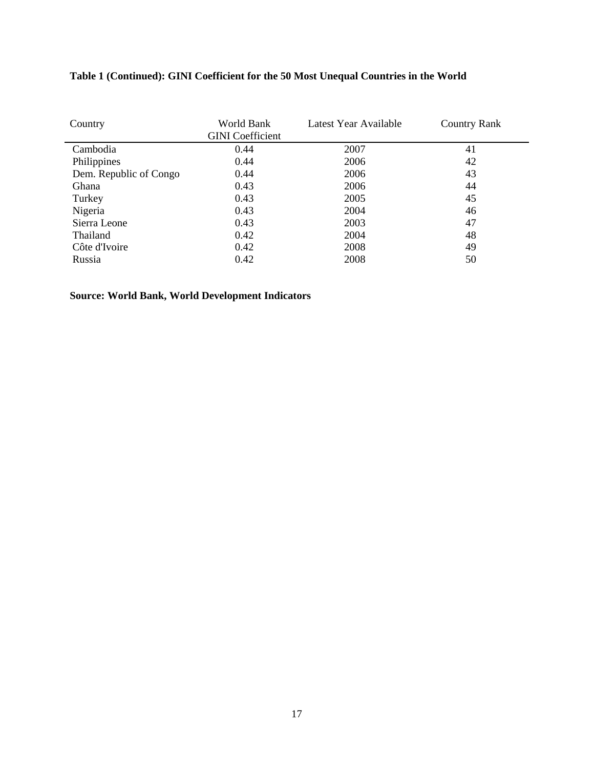| Country                | World Bank<br><b>GINI</b> Coefficient | Latest Year Available | <b>Country Rank</b> |
|------------------------|---------------------------------------|-----------------------|---------------------|
| Cambodia               | 0.44                                  | 2007                  | 41                  |
| Philippines            | 0.44                                  | 2006                  | 42                  |
| Dem. Republic of Congo | 0.44                                  | 2006                  | 43                  |
| Ghana                  | 0.43                                  | 2006                  | 44                  |
| Turkey                 | 0.43                                  | 2005                  | 45                  |
| Nigeria                | 0.43                                  | 2004                  | 46                  |
| Sierra Leone           | 0.43                                  | 2003                  | 47                  |
| Thailand               | 0.42                                  | 2004                  | 48                  |
| Côte d'Ivoire          | 0.42                                  | 2008                  | 49                  |
| Russia                 | 0.42                                  | 2008                  | 50                  |

### **Table 1 (Continued): GINI Coefficient for the 50 Most Unequal Countries in the World**

**Source: World Bank, World Development Indicators**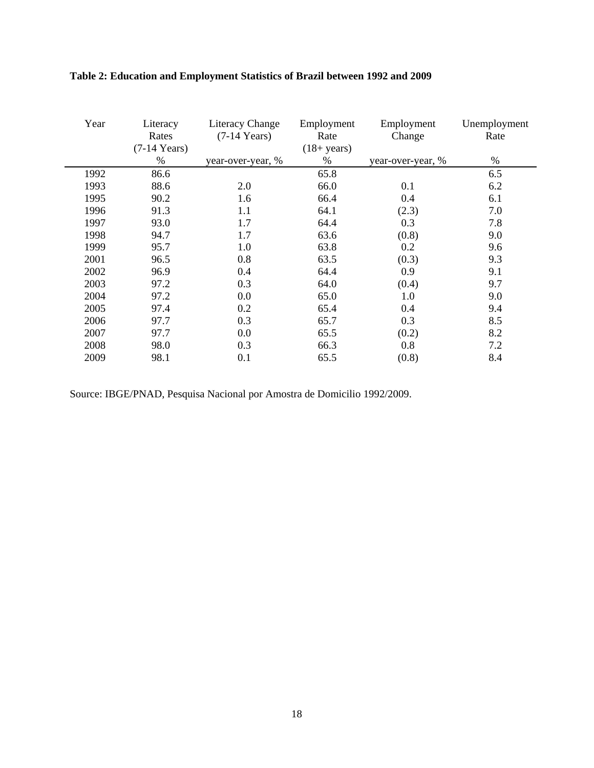| Year | Literacy<br>Rates<br>$(7-14$ Years) | Literacy Change<br>$(7-14$ Years) | Employment<br>Rate<br>$(18 + years)$ | Employment<br>Change | Unemployment<br>Rate |
|------|-------------------------------------|-----------------------------------|--------------------------------------|----------------------|----------------------|
|      | %                                   | year-over-year, %                 | %                                    | year-over-year, %    | %                    |
| 1992 | 86.6                                |                                   | 65.8                                 |                      | 6.5                  |
| 1993 | 88.6                                | 2.0                               | 66.0                                 | 0.1                  | 6.2                  |
| 1995 | 90.2                                | 1.6                               | 66.4                                 | 0.4                  | 6.1                  |
| 1996 | 91.3                                | 1.1                               | 64.1                                 | (2.3)                | 7.0                  |
| 1997 | 93.0                                | 1.7                               | 64.4                                 | 0.3                  | 7.8                  |
| 1998 | 94.7                                | 1.7                               | 63.6                                 | (0.8)                | 9.0                  |
| 1999 | 95.7                                | 1.0                               | 63.8                                 | 0.2                  | 9.6                  |
| 2001 | 96.5                                | 0.8                               | 63.5                                 | (0.3)                | 9.3                  |
| 2002 | 96.9                                | 0.4                               | 64.4                                 | 0.9                  | 9.1                  |
| 2003 | 97.2                                | 0.3                               | 64.0                                 | (0.4)                | 9.7                  |
| 2004 | 97.2                                | 0.0                               | 65.0                                 | 1.0                  | 9.0                  |
| 2005 | 97.4                                | 0.2                               | 65.4                                 | 0.4                  | 9.4                  |
| 2006 | 97.7                                | 0.3                               | 65.7                                 | 0.3                  | 8.5                  |
| 2007 | 97.7                                | 0.0                               | 65.5                                 | (0.2)                | 8.2                  |
| 2008 | 98.0                                | 0.3                               | 66.3                                 | 0.8                  | 7.2                  |
| 2009 | 98.1                                | 0.1                               | 65.5                                 | (0.8)                | 8.4                  |

### **Table 2: Education and Employment Statistics of Brazil between 1992 and 2009**

Source: IBGE/PNAD, Pesquisa Nacional por Amostra de Domicilio 1992/2009.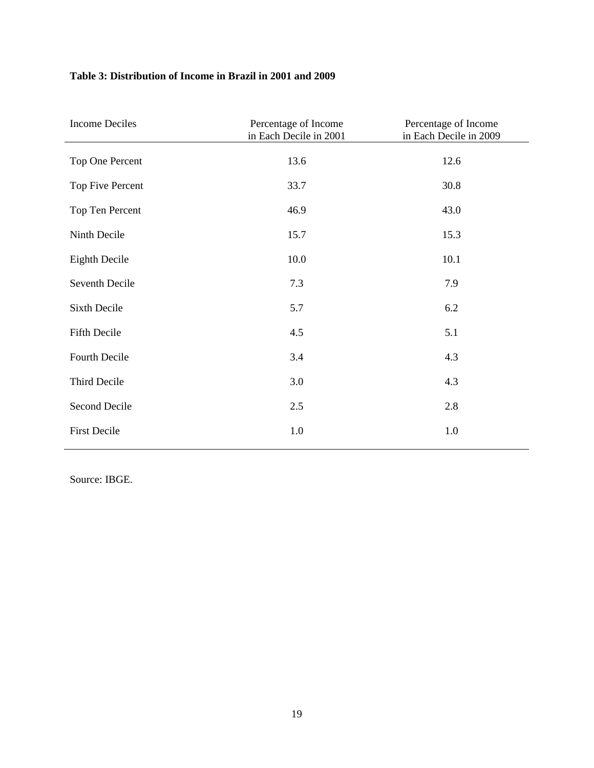#### **Table 3: Distribution of Income in Brazil in 2001 and 2009**

| <b>Income Deciles</b> | Percentage of Income<br>in Each Decile in 2001 | Percentage of Income<br>in Each Decile in 2009 |
|-----------------------|------------------------------------------------|------------------------------------------------|
| Top One Percent       | 13.6                                           | 12.6                                           |
| Top Five Percent      | 33.7                                           | 30.8                                           |
| Top Ten Percent       | 46.9                                           | 43.0                                           |
| Ninth Decile          | 15.7                                           | 15.3                                           |
| <b>Eighth Decile</b>  | 10.0                                           | 10.1                                           |
| Seventh Decile        | 7.3                                            | 7.9                                            |
| Sixth Decile          | 5.7                                            | 6.2                                            |
| Fifth Decile          | 4.5                                            | 5.1                                            |
| Fourth Decile         | 3.4                                            | 4.3                                            |
| Third Decile          | 3.0                                            | 4.3                                            |
| Second Decile         | 2.5                                            | 2.8                                            |
| <b>First Decile</b>   | 1.0                                            | 1.0                                            |

Source: IBGE.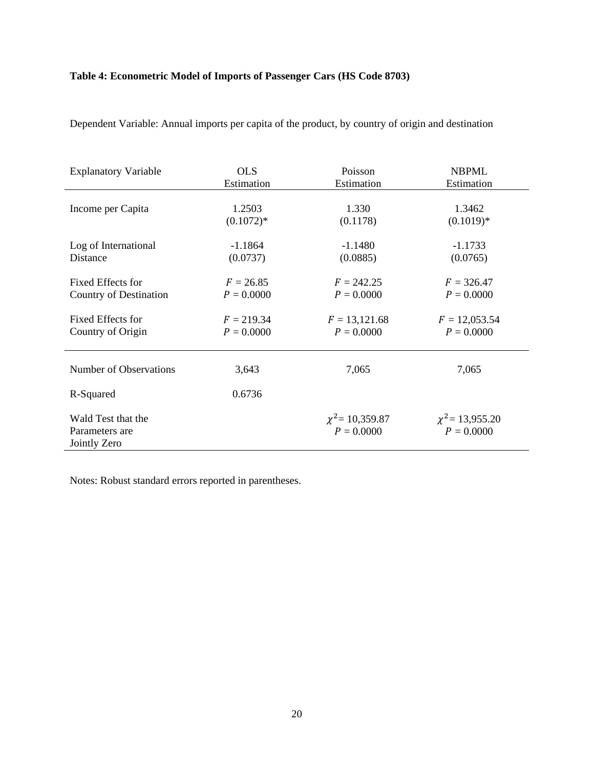### **Table 4: Econometric Model of Imports of Passenger Cars (HS Code 8703)**

| <b>Explanatory Variable</b>                          | <b>OLS</b>   | Poisson                              | <b>NBPML</b>                         |
|------------------------------------------------------|--------------|--------------------------------------|--------------------------------------|
|                                                      | Estimation   | Estimation                           | Estimation                           |
| Income per Capita                                    | 1.2503       | 1.330                                | 1.3462                               |
|                                                      | $(0.1072)*$  | (0.1178)                             | $(0.1019)*$                          |
| Log of International                                 | $-1.1864$    | $-1.1480$                            | $-1.1733$                            |
| Distance                                             | (0.0737)     | (0.0885)                             | (0.0765)                             |
| Fixed Effects for                                    | $F = 26.85$  | $F = 242.25$                         | $F = 326.47$                         |
| Country of Destination                               | $P = 0.0000$ | $P = 0.0000$                         | $P = 0.0000$                         |
| Fixed Effects for                                    | $F = 219.34$ | $F = 13,121.68$                      | $F = 12,053.54$                      |
| Country of Origin                                    | $P = 0.0000$ | $P = 0.0000$                         | $P = 0.0000$                         |
| Number of Observations                               | 3,643        | 7,065                                | 7,065                                |
| R-Squared                                            | 0.6736       |                                      |                                      |
| Wald Test that the<br>Parameters are<br>Jointly Zero |              | $\chi^2$ = 10,359.87<br>$P = 0.0000$ | $\chi^2$ = 13,955.20<br>$P = 0.0000$ |

Dependent Variable: Annual imports per capita of the product, by country of origin and destination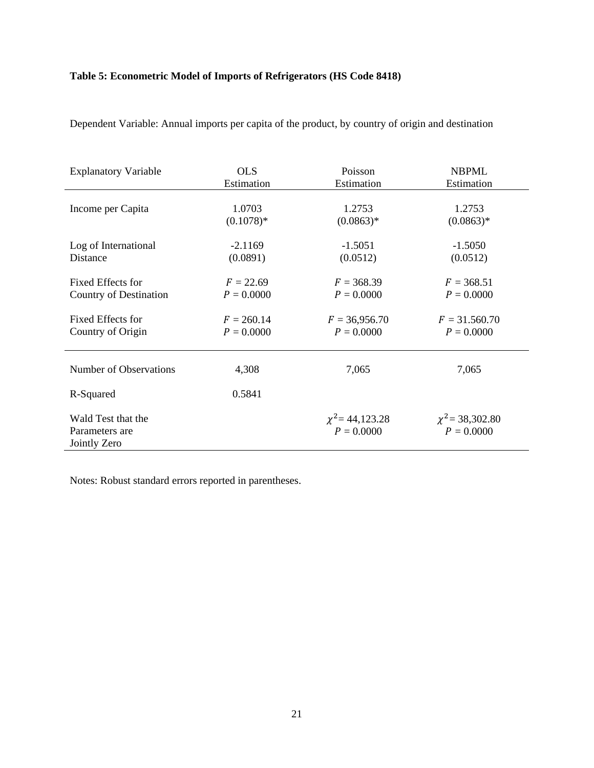### **Table 5: Econometric Model of Imports of Refrigerators (HS Code 8418)**

| <b>Explanatory Variable</b>                          | <b>OLS</b>   | Poisson                              | <b>NBPML</b>                         |
|------------------------------------------------------|--------------|--------------------------------------|--------------------------------------|
|                                                      | Estimation   | Estimation                           | Estimation                           |
| Income per Capita                                    | 1.0703       | 1.2753                               | 1.2753                               |
|                                                      | $(0.1078)*$  | $(0.0863)*$                          | $(0.0863)*$                          |
| Log of International                                 | $-2.1169$    | $-1.5051$                            | $-1.5050$                            |
| Distance                                             | (0.0891)     | (0.0512)                             | (0.0512)                             |
| Fixed Effects for                                    | $F = 22.69$  | $F = 368.39$                         | $F = 368.51$                         |
| Country of Destination                               | $P = 0.0000$ | $P = 0.0000$                         | $P = 0.0000$                         |
| Fixed Effects for                                    | $F = 260.14$ | $F = 36,956.70$                      | $F = 31.560.70$                      |
| Country of Origin                                    | $P = 0.0000$ | $P = 0.0000$                         | $P = 0.0000$                         |
| Number of Observations                               | 4,308        | 7,065                                | 7,065                                |
| R-Squared                                            | 0.5841       |                                      |                                      |
| Wald Test that the<br>Parameters are<br>Jointly Zero |              | $\chi^2$ = 44,123.28<br>$P = 0.0000$ | $\chi^2$ = 38,302.80<br>$P = 0.0000$ |

Dependent Variable: Annual imports per capita of the product, by country of origin and destination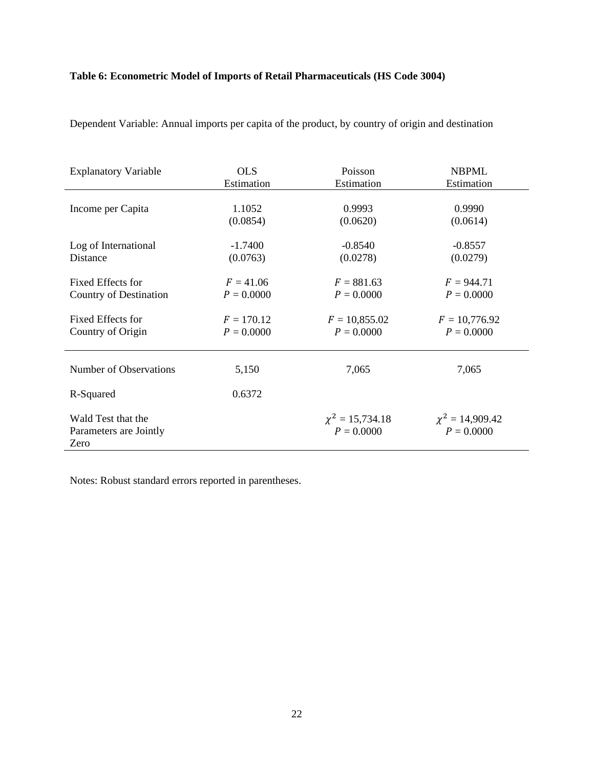### **Table 6: Econometric Model of Imports of Retail Pharmaceuticals (HS Code 3004)**

| <b>Explanatory Variable</b>                          | <b>OLS</b>   | Poisson                              | <b>NBPML</b>                         |
|------------------------------------------------------|--------------|--------------------------------------|--------------------------------------|
|                                                      | Estimation   | Estimation                           | Estimation                           |
| Income per Capita                                    | 1.1052       | 0.9993                               | 0.9990                               |
|                                                      | (0.0854)     | (0.0620)                             | (0.0614)                             |
| Log of International                                 | $-1.7400$    | $-0.8540$                            | $-0.8557$                            |
| Distance                                             | (0.0763)     | (0.0278)                             | (0.0279)                             |
| Fixed Effects for                                    | $F = 41.06$  | $F = 881.63$                         | $F = 944.71$                         |
| Country of Destination                               | $P = 0.0000$ | $P = 0.0000$                         | $P = 0.0000$                         |
| Fixed Effects for                                    | $F = 170.12$ | $F = 10,855.02$                      | $F = 10,776.92$                      |
| Country of Origin                                    | $P = 0.0000$ | $P = 0.0000$                         | $P = 0.0000$                         |
| Number of Observations                               | 5,150        | 7,065                                | 7,065                                |
| R-Squared                                            | 0.6372       |                                      |                                      |
| Wald Test that the<br>Parameters are Jointly<br>Zero |              | $\chi^2 = 15,734.18$<br>$P = 0.0000$ | $\chi^2 = 14,909.42$<br>$P = 0.0000$ |

Dependent Variable: Annual imports per capita of the product, by country of origin and destination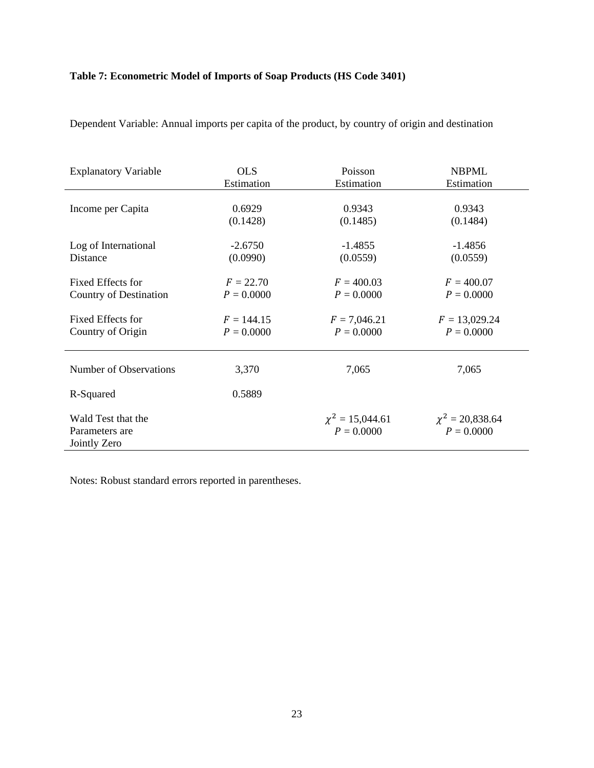### **Table 7: Econometric Model of Imports of Soap Products (HS Code 3401)**

| <b>Explanatory Variable</b>                          | <b>OLS</b>   | Poisson                              | <b>NBPML</b>                         |
|------------------------------------------------------|--------------|--------------------------------------|--------------------------------------|
|                                                      | Estimation   | Estimation                           | Estimation                           |
| Income per Capita                                    | 0.6929       | 0.9343                               | 0.9343                               |
|                                                      | (0.1428)     | (0.1485)                             | (0.1484)                             |
| Log of International                                 | $-2.6750$    | $-1.4855$                            | $-1.4856$                            |
| Distance                                             | (0.0990)     | (0.0559)                             | (0.0559)                             |
| Fixed Effects for                                    | $F = 22.70$  | $F = 400.03$                         | $F = 400.07$                         |
| Country of Destination                               | $P = 0.0000$ | $P = 0.0000$                         | $P = 0.0000$                         |
| Fixed Effects for                                    | $F = 144.15$ | $F = 7,046.21$                       | $F = 13,029.24$                      |
| Country of Origin                                    | $P = 0.0000$ | $P = 0.0000$                         | $P = 0.0000$                         |
| Number of Observations                               | 3,370        | 7,065                                | 7,065                                |
| R-Squared                                            | 0.5889       |                                      |                                      |
| Wald Test that the<br>Parameters are<br>Jointly Zero |              | $\chi^2 = 15,044.61$<br>$P = 0.0000$ | $\chi^2 = 20,838.64$<br>$P = 0.0000$ |

Dependent Variable: Annual imports per capita of the product, by country of origin and destination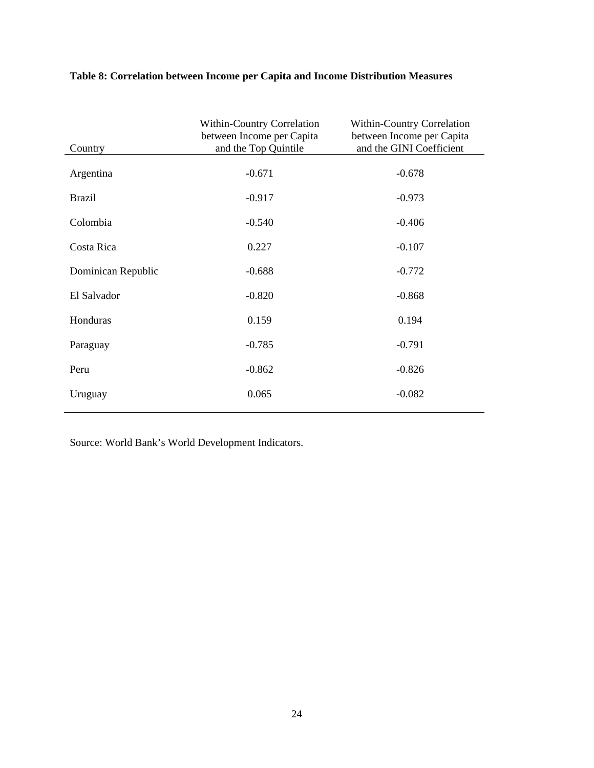| Country            | <b>Within-Country Correlation</b><br>between Income per Capita<br>and the Top Quintile | Within-Country Correlation<br>between Income per Capita<br>and the GINI Coefficient |
|--------------------|----------------------------------------------------------------------------------------|-------------------------------------------------------------------------------------|
| Argentina          | $-0.671$                                                                               | $-0.678$                                                                            |
| <b>Brazil</b>      | $-0.917$                                                                               | $-0.973$                                                                            |
| Colombia           | $-0.540$                                                                               | $-0.406$                                                                            |
| Costa Rica         | 0.227                                                                                  | $-0.107$                                                                            |
| Dominican Republic | $-0.688$                                                                               | $-0.772$                                                                            |
| El Salvador        | $-0.820$                                                                               | $-0.868$                                                                            |
| Honduras           | 0.159                                                                                  | 0.194                                                                               |
| Paraguay           | $-0.785$                                                                               | $-0.791$                                                                            |
| Peru               | $-0.862$                                                                               | $-0.826$                                                                            |
| Uruguay            | 0.065                                                                                  | $-0.082$                                                                            |

### **Table 8: Correlation between Income per Capita and Income Distribution Measures**

Source: World Bank's World Development Indicators.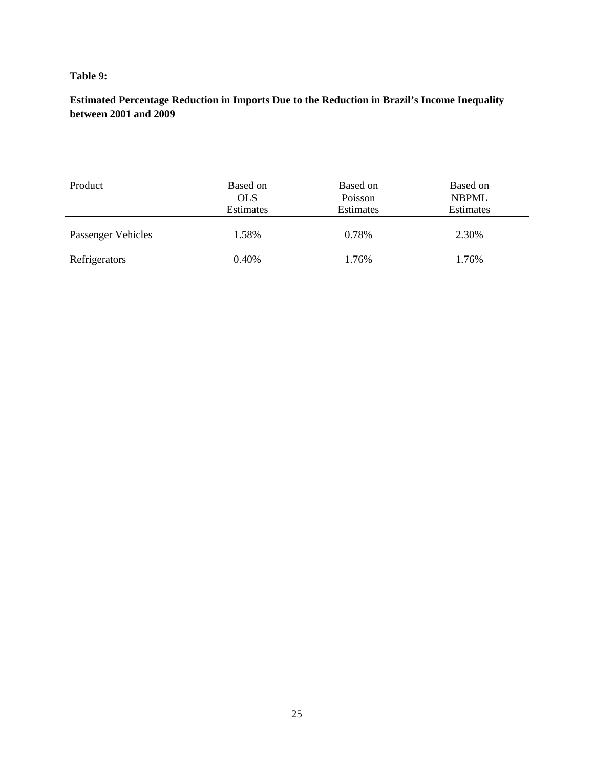#### **Table 9:**

**Estimated Percentage Reduction in Imports Due to the Reduction in Brazil's Income Inequality between 2001 and 2009** 

| Product            | Based on<br><b>OLS</b><br><b>Estimates</b> | Based on<br>Poisson<br>Estimates | Based on<br><b>NBPML</b><br>Estimates |
|--------------------|--------------------------------------------|----------------------------------|---------------------------------------|
| Passenger Vehicles | 1.58%                                      | 0.78%                            | 2.30%                                 |
| Refrigerators      | 0.40%                                      | 1.76%                            | 1.76%                                 |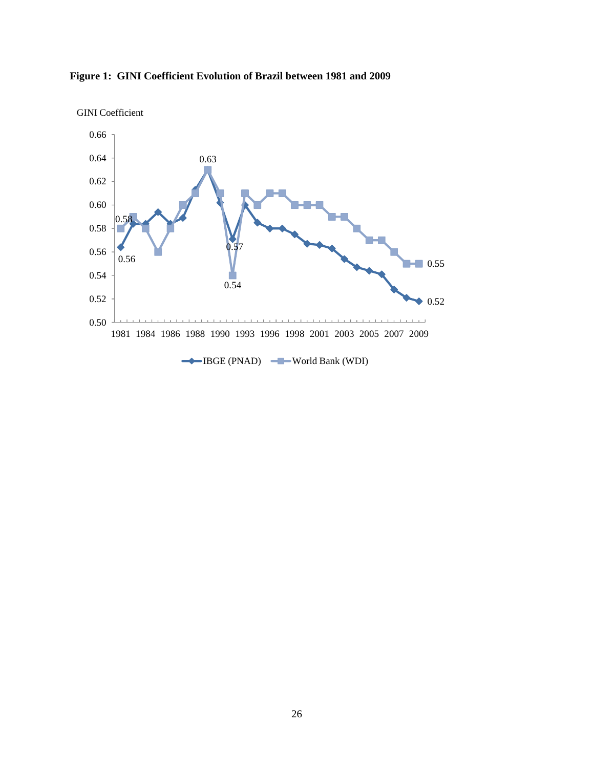

**Figure 1: GINI Coefficient Evolution of Brazil between 1981 and 2009**